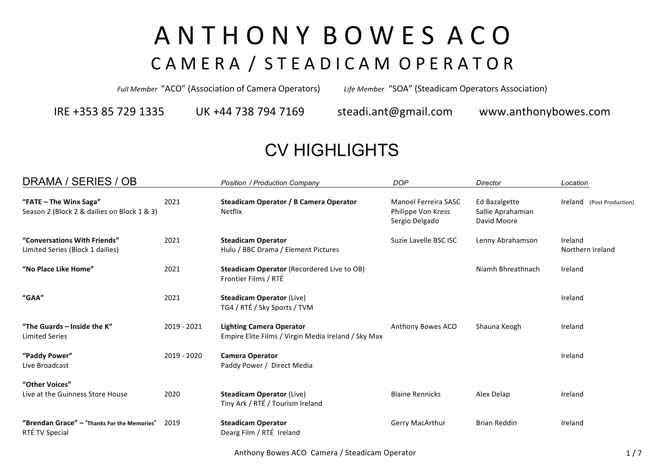## A N T H O N Y B O W E S A C O CAMERA / STEADICAM OPERATOR

*Full Member* "ACO" (Association of Camera Operators) *Life Member* "SOA" (Steadicam Operators Association)

IRE +353 85 729 1335 UK +44 738 794 7169 steadi.ant@gmail.com www.anthonybowes.com

## CV HIGHLIGHTS

| DRAMA / SERIES / OB                                                   |               | Position / Production Company                                                          | <b>DOP</b>                                                   | Director                                          | Location                    |
|-----------------------------------------------------------------------|---------------|----------------------------------------------------------------------------------------|--------------------------------------------------------------|---------------------------------------------------|-----------------------------|
| "FATE - The Winx Saga"<br>Season 2 (Block 2 & dailies on Block 1 & 3) | 2021          | Steadicam Operator / B Camera Operator<br><b>Netflix</b>                               | Manoel Ferreira SASC<br>Philippe Von Kress<br>Sergio Delgado | Ed Bazalgette<br>Sallie Aprahamian<br>David Moore | Ireland (Post Production)   |
| "Conversations With Friends"<br>Limited Series (Block 1 dailies)      | 2021          | <b>Steadicam Operator</b><br>Hulu / BBC Drama / Element Pictures                       | Suzie Lavelle BSC ISC                                        | Lenny Abrahamson                                  | Ireland<br>Northern Ireland |
| "No Place Like Home"                                                  | 2021          | Steadicam Operator (Recordered Live to OB)<br>Frontier Films / RTÉ                     |                                                              | Niamh Bhreathnach                                 | Ireland                     |
| "GAA"                                                                 | 2021          | <b>Steadicam Operator (Live)</b><br>TG4 / RTÉ / Sky Sports / TVM                       |                                                              |                                                   | Ireland                     |
| "The Guards - Inside the K"<br><b>Limited Series</b>                  | $2019 - 2021$ | <b>Lighting Camera Operator</b><br>Empire Elite Films / Virgin Media Ireland / Sky Max | Anthony Bowes ACO                                            | Shauna Keogh                                      | Ireland                     |
| "Paddy Power"<br>Live Broadcast                                       | 2019 - 2020   | <b>Camera Operator</b><br>Paddy Power / Direct Media                                   |                                                              |                                                   | Ireland                     |
| "Other Voices"<br>Live at the Guinness Store House                    | 2020          | <b>Steadicam Operator (Live)</b><br>Tiny Ark / RTÉ / Tourism Ireland                   | <b>Blaine Rennicks</b>                                       | Alex Delap                                        | Ireland                     |
| "Brendan Grace" - 'Thanks For the Memories'<br>RTÉ TV Special         | 2019          | <b>Steadicam Operator</b><br>Dearg Film / RTÉ Ireland                                  | <b>Gerry MacArthur</b>                                       | <b>Brian Reddin</b>                               | Ireland                     |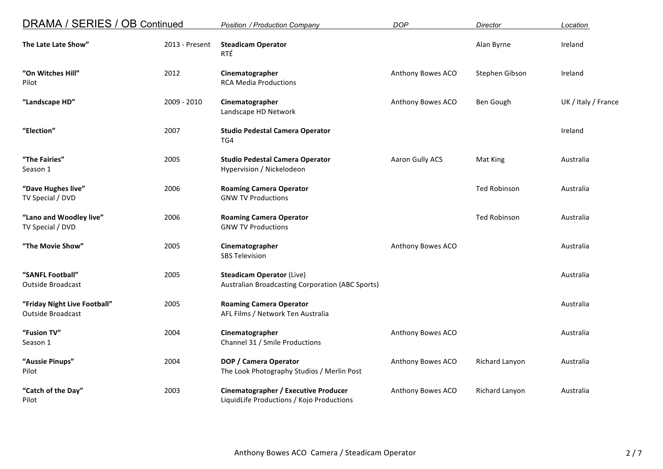| DRAMA / SERIES / OB Continued                            |                | <b>Position / Production Company</b>                                                        | <b>DOP</b>        | Director            | Location            |
|----------------------------------------------------------|----------------|---------------------------------------------------------------------------------------------|-------------------|---------------------|---------------------|
| The Late Late Show"                                      | 2013 - Present | <b>Steadicam Operator</b><br>RTÉ                                                            |                   | Alan Byrne          | Ireland             |
| "On Witches Hill"<br>Pilot                               | 2012           | Cinematographer<br><b>RCA Media Productions</b>                                             | Anthony Bowes ACO | Stephen Gibson      | Ireland             |
| "Landscape HD"                                           | 2009 - 2010    | Cinematographer<br>Landscape HD Network                                                     | Anthony Bowes ACO | Ben Gough           | UK / Italy / France |
| "Election"                                               | 2007           | <b>Studio Pedestal Camera Operator</b><br>TG4                                               |                   |                     | Ireland             |
| "The Fairies"<br>Season 1                                | 2005           | <b>Studio Pedestal Camera Operator</b><br>Hypervision / Nickelodeon                         | Aaron Gully ACS   | Mat King            | Australia           |
| "Dave Hughes live"<br>TV Special / DVD                   | 2006           | <b>Roaming Camera Operator</b><br><b>GNW TV Productions</b>                                 |                   | <b>Ted Robinson</b> | Australia           |
| "Lano and Woodley live"<br>TV Special / DVD              | 2006           | <b>Roaming Camera Operator</b><br><b>GNW TV Productions</b>                                 |                   | <b>Ted Robinson</b> | Australia           |
| "The Movie Show"                                         | 2005           | Cinematographer<br><b>SBS Television</b>                                                    | Anthony Bowes ACO |                     | Australia           |
| "SANFL Football"<br><b>Outside Broadcast</b>             | 2005           | <b>Steadicam Operator (Live)</b><br><b>Australian Broadcasting Corporation (ABC Sports)</b> |                   |                     | Australia           |
| "Friday Night Live Football"<br><b>Outside Broadcast</b> | 2005           | <b>Roaming Camera Operator</b><br>AFL Films / Network Ten Australia                         |                   |                     | Australia           |
| "Fusion TV"<br>Season 1                                  | 2004           | Cinematographer<br>Channel 31 / Smile Productions                                           | Anthony Bowes ACO |                     | Australia           |
| "Aussie Pinups"<br>Pilot                                 | 2004           | DOP / Camera Operator<br>The Look Photography Studios / Merlin Post                         | Anthony Bowes ACO | Richard Lanyon      | Australia           |
| "Catch of the Day"<br>Pilot                              | 2003           | <b>Cinematographer / Executive Producer</b><br>LiquidLife Productions / Kojo Productions    | Anthony Bowes ACO | Richard Lanyon      | Australia           |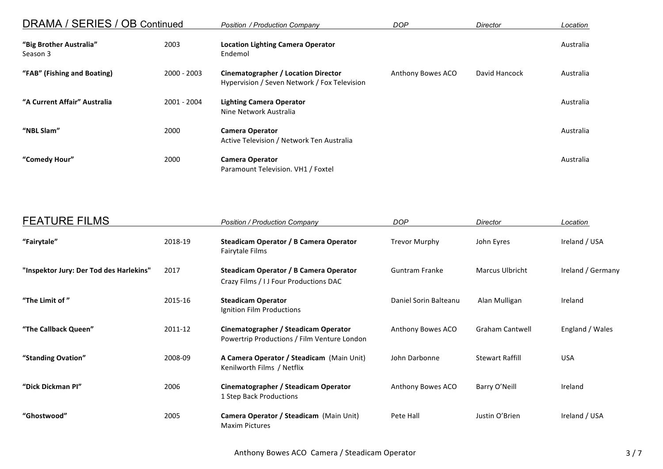| DRAMA / SERIES / OB Continued       |               | <b>Position / Production Company</b>                                                | <b>DOP</b>        | Director      | Location  |
|-------------------------------------|---------------|-------------------------------------------------------------------------------------|-------------------|---------------|-----------|
| "Big Brother Australia"<br>Season 3 | 2003          | <b>Location Lighting Camera Operator</b><br>Endemol                                 |                   |               | Australia |
| "FAB" (Fishing and Boating)         | $2000 - 2003$ | Cinematographer / Location Director<br>Hypervision / Seven Network / Fox Television | Anthony Bowes ACO | David Hancock | Australia |
| "A Current Affair" Australia        | 2001 - 2004   | <b>Lighting Camera Operator</b><br>Nine Network Australia                           |                   |               | Australia |
| "NBL Slam"                          | 2000          | <b>Camera Operator</b><br>Active Television / Network Ten Australia                 |                   |               | Australia |
| "Comedy Hour"                       | 2000          | <b>Camera Operator</b><br>Paramount Television. VH1 / Foxtel                        |                   |               | Australia |

| <b>FEATURE FILMS</b>                    |         | <b>Position / Production Company</b>                                                | <b>DOP</b>            | Director               | Location          |
|-----------------------------------------|---------|-------------------------------------------------------------------------------------|-----------------------|------------------------|-------------------|
| "Fairytale"                             | 2018-19 | Steadicam Operator / B Camera Operator<br>Fairytale Films                           | Trevor Murphy         | John Eyres             | Ireland / USA     |
| "Inspektor Jury: Der Tod des Harlekins" | 2017    | Steadicam Operator / B Camera Operator<br>Crazy Films / I J Four Productions DAC    | <b>Guntram Franke</b> | <b>Marcus Ulbricht</b> | Ireland / Germany |
| "The Limit of"                          | 2015-16 | <b>Steadicam Operator</b><br>Ignition Film Productions                              | Daniel Sorin Balteanu | Alan Mulligan          | Ireland           |
| "The Callback Queen"                    | 2011-12 | Cinematographer / Steadicam Operator<br>Powertrip Productions / Film Venture London | Anthony Bowes ACO     | <b>Graham Cantwell</b> | England / Wales   |
| "Standing Ovation"                      | 2008-09 | A Camera Operator / Steadicam (Main Unit)<br>Kenilworth Films / Netflix             | John Darbonne         | <b>Stewart Raffill</b> | <b>USA</b>        |
| "Dick Dickman Pl"                       | 2006    | Cinematographer / Steadicam Operator<br>1 Step Back Productions                     | Anthony Bowes ACO     | Barry O'Neill          | Ireland           |
| "Ghostwood"                             | 2005    | Camera Operator / Steadicam (Main Unit)<br><b>Maxim Pictures</b>                    | Pete Hall             | Justin O'Brien         | Ireland / USA     |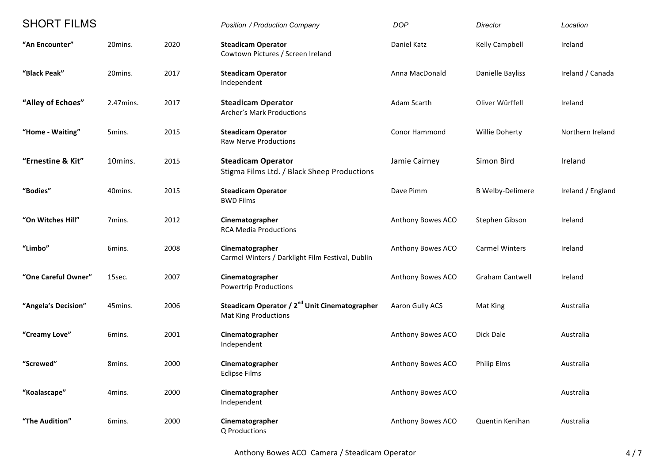| <b>SHORT FILMS</b>  |           |      | Position / Production Company                                                            | <b>DOP</b>           | Director                | Location          |
|---------------------|-----------|------|------------------------------------------------------------------------------------------|----------------------|-------------------------|-------------------|
| "An Encounter"      | 20mins.   | 2020 | <b>Steadicam Operator</b><br>Cowtown Pictures / Screen Ireland                           | Daniel Katz          | Kelly Campbell          | Ireland           |
| "Black Peak"        | 20mins.   | 2017 | <b>Steadicam Operator</b><br>Independent                                                 | Anna MacDonald       | Danielle Bayliss        | Ireland / Canada  |
| "Alley of Echoes"   | 2.47mins. | 2017 | <b>Steadicam Operator</b><br><b>Archer's Mark Productions</b>                            | Adam Scarth          | Oliver Würffell         | Ireland           |
| "Home - Waiting"    | 5mins.    | 2015 | <b>Steadicam Operator</b><br><b>Raw Nerve Productions</b>                                | <b>Conor Hammond</b> | <b>Willie Doherty</b>   | Northern Ireland  |
| "Ernestine & Kit"   | 10mins.   | 2015 | <b>Steadicam Operator</b><br>Stigma Films Ltd. / Black Sheep Productions                 | Jamie Cairney        | Simon Bird              | Ireland           |
| "Bodies"            | 40mins.   | 2015 | <b>Steadicam Operator</b><br><b>BWD Films</b>                                            | Dave Pimm            | <b>B Welby-Delimere</b> | Ireland / England |
| "On Witches Hill"   | 7mins.    | 2012 | Cinematographer<br><b>RCA Media Productions</b>                                          | Anthony Bowes ACO    | Stephen Gibson          | Ireland           |
| "Limbo"             | 6mins.    | 2008 | Cinematographer<br>Carmel Winters / Darklight Film Festival, Dublin                      | Anthony Bowes ACO    | <b>Carmel Winters</b>   | Ireland           |
| "One Careful Owner" | 15sec.    | 2007 | Cinematographer<br><b>Powertrip Productions</b>                                          | Anthony Bowes ACO    | Graham Cantwell         | Ireland           |
| "Angela's Decision" | 45mins.   | 2006 | Steadicam Operator / 2 <sup>nd</sup> Unit Cinematographer<br><b>Mat King Productions</b> | Aaron Gully ACS      | Mat King                | Australia         |
| "Creamy Love"       | 6mins.    | 2001 | Cinematographer<br>Independent                                                           | Anthony Bowes ACO    | Dick Dale               | Australia         |
| "Screwed"           | 8mins.    | 2000 | Cinematographer<br><b>Eclipse Films</b>                                                  | Anthony Bowes ACO    | <b>Philip Elms</b>      | Australia         |
| "Koalascape"        | 4mins.    | 2000 | Cinematographer<br>Independent                                                           | Anthony Bowes ACO    |                         | Australia         |
| "The Audition"      | 6mins.    | 2000 | Cinematographer<br>Q Productions                                                         | Anthony Bowes ACO    | Quentin Kenihan         | Australia         |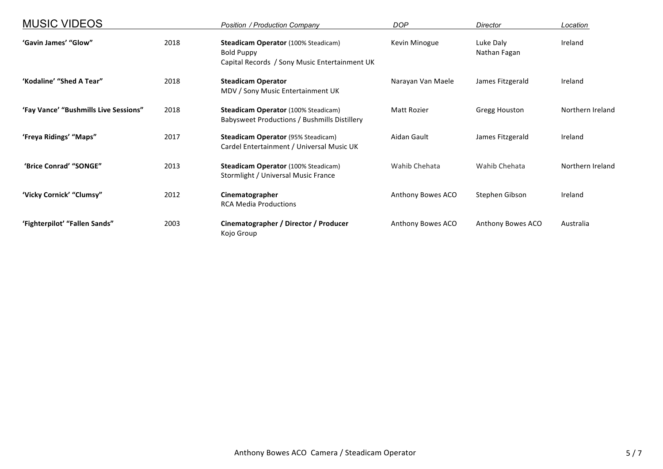| <b>MUSIC VIDEOS</b>                   |      | <b>Position / Production Company</b>                                                                             | <b>DOP</b>        | Director                  | Location         |
|---------------------------------------|------|------------------------------------------------------------------------------------------------------------------|-------------------|---------------------------|------------------|
| 'Gavin James' "Glow"                  | 2018 | <b>Steadicam Operator (100% Steadicam)</b><br><b>Bold Puppy</b><br>Capital Records / Sony Music Entertainment UK | Kevin Minogue     | Luke Daly<br>Nathan Fagan | Ireland          |
| 'Kodaline' "Shed A Tear"              | 2018 | <b>Steadicam Operator</b><br>MDV / Sony Music Entertainment UK                                                   | Narayan Van Maele | James Fitzgerald          | Ireland          |
| 'Fay Vance' "Bushmills Live Sessions" | 2018 | <b>Steadicam Operator (100% Steadicam)</b><br>Babysweet Productions / Bushmills Distillery                       | Matt Rozier       | Gregg Houston             | Northern Ireland |
| 'Freya Ridings' "Maps"                | 2017 | <b>Steadicam Operator (95% Steadicam)</b><br>Cardel Entertainment / Universal Music UK                           | Aidan Gault       | James Fitzgerald          | Ireland          |
| 'Brice Conrad' "SONGE"                | 2013 | <b>Steadicam Operator (100% Steadicam)</b><br>Stormlight / Universal Music France                                | Wahib Chehata     | Wahib Chehata             | Northern Ireland |
| 'Vicky Cornick' "Clumsy"              | 2012 | Cinematographer<br><b>RCA Media Productions</b>                                                                  | Anthony Bowes ACO | Stephen Gibson            | Ireland          |
| 'Fighterpilot' "Fallen Sands"         | 2003 | Cinematographer / Director / Producer<br>Kojo Group                                                              | Anthony Bowes ACO | Anthony Bowes ACO         | Australia        |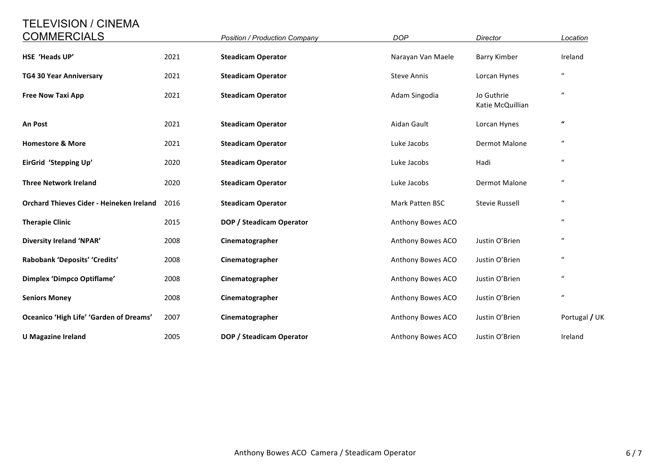## TELEVISION / CINEMA

| <b>COMMERCIALS</b>                       |      | <b>Position / Production Company</b> | <b>DOP</b>             | Director                       | Location                   |
|------------------------------------------|------|--------------------------------------|------------------------|--------------------------------|----------------------------|
| HSE 'Heads UP'                           | 2021 | <b>Steadicam Operator</b>            | Narayan Van Maele      | <b>Barry Kimber</b>            | Ireland                    |
| TG4 30 Year Anniversary                  | 2021 | <b>Steadicam Operator</b>            | <b>Steve Annis</b>     | Lorcan Hynes                   | $\boldsymbol{\mathcal{U}}$ |
| <b>Free Now Taxi App</b>                 | 2021 | <b>Steadicam Operator</b>            | Adam Singodia          | Jo Guthrie<br>Katie McQuillian | $\boldsymbol{\mathcal{U}}$ |
| An Post                                  | 2021 | <b>Steadicam Operator</b>            | Aidan Gault            | Lorcan Hynes                   | $\pmb{\mathcal{U}}$        |
| <b>Homestore &amp; More</b>              | 2021 | <b>Steadicam Operator</b>            | Luke Jacobs            | Dermot Malone                  | $\boldsymbol{u}$           |
| EirGrid 'Stepping Up'                    | 2020 | <b>Steadicam Operator</b>            | Luke Jacobs            | Hadi                           | $\boldsymbol{u}$           |
| <b>Three Network Ireland</b>             | 2020 | <b>Steadicam Operator</b>            | Luke Jacobs            | Dermot Malone                  | $\boldsymbol{\mathcal{U}}$ |
| Orchard Thieves Cider - Heineken Ireland | 2016 | <b>Steadicam Operator</b>            | <b>Mark Patten BSC</b> | <b>Stevie Russell</b>          | $\boldsymbol{u}$           |
| <b>Therapie Clinic</b>                   | 2015 | DOP / Steadicam Operator             | Anthony Bowes ACO      |                                | $\boldsymbol{u}$           |
| <b>Diversity Ireland 'NPAR'</b>          | 2008 | Cinematographer                      | Anthony Bowes ACO      | Justin O'Brien                 | $\boldsymbol{u}$           |
| Rabobank 'Deposits' 'Credits'            | 2008 | Cinematographer                      | Anthony Bowes ACO      | Justin O'Brien                 | $\boldsymbol{u}$           |
| Dimplex 'Dimpco Optiflame'               | 2008 | Cinematographer                      | Anthony Bowes ACO      | Justin O'Brien                 | $\boldsymbol{u}$           |
| <b>Seniors Money</b>                     | 2008 | Cinematographer                      | Anthony Bowes ACO      | Justin O'Brien                 | $\boldsymbol{u}$           |
| Oceanico 'High Life' 'Garden of Dreams'  | 2007 | Cinematographer                      | Anthony Bowes ACO      | Justin O'Brien                 | Portugal / UK              |
| <b>U</b> Magazine Ireland                | 2005 | DOP / Steadicam Operator             | Anthony Bowes ACO      | Justin O'Brien                 | Ireland                    |